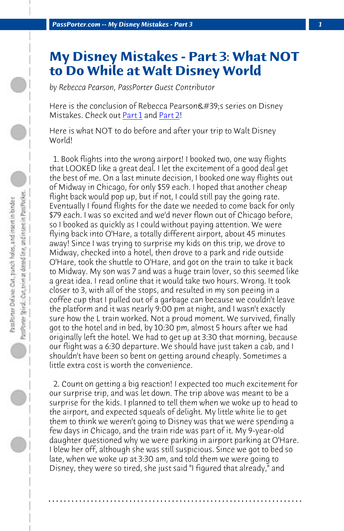*PassPorter.com -- My Disney Mistakes - Part 3 1*

## **My Disney Mistakes - Part 3: What NOT to Do While at Walt Disney World**

*by Rebecca Pearson, PassPorter Guest Contributor*

Here is the conclusion of Rebecca Pearson's series on Disney Mistakes. Check out Part 1 and Part 2!

Here is what NOT to do before and after your trip to Walt Disney World!

 1. Book flights into the wrong airport! I booked two, one way flights that LOOKED like a great deal. I let the excitement of a good deal get the best of me. On a last minute decision, I booked one way flights out of Midway in Chicago, for only \$59 each. I hoped that another cheap flight back would pop up, but if not, I could still pay the going rate. Eventually I found flights for the date we needed to come back for only \$79 each. I was so excited and we'd never flown out of Chicago before, so I booked as quickly as I could without paying attention. We were flying back into O'Hare, a totally different airport, about 45 minutes away! Since I was trying to surprise my kids on this trip, we drove to Midway, checked into a hotel, then drove to a park and ride outside O'Hare, took the shuttle to O'Hare, and got on the train to take it back to Midway. My son was 7 and was a huge train lover, so this seemed like a great idea. I read online that it would take two hours. Wrong. It took closer to 3, with all of the stops, and resulted in my son peeing in a coffee cup that I pulled out of a garbage can because we couldn't leave the platform and it was nearly 9:00 pm at night, and I wasn't exactly sure how the L train worked. Not a proud moment. We survived, finally got to the hotel and in bed, by 10:30 pm, almost 5 hours after we had originally left the hotel. We had to get up at 3:30 that morning, because our flight was a 6:30 departure. We should have just taken a cab, and I shouldn't have been so bent on getting around cheaply. Sometimes a little extra cost is worth the convenience.

 2. Count on getting a big reaction! I expected too much excitement for our surprise trip, and was let down. The trip above was meant to be a surprise for the kids. I planned to tell them when we woke up to head to the airport, and expected squeals of delight. My little white lie to get them to think we weren't going to Disney was that we were spending a few days in Chicago, and the train ride was part of it. My 9-year-old daughter questioned why we were parking in airport parking at O'Hare. I blew her off, although she was still suspicious. Since we got to bed so late, when we woke up at 3:30 am, and told them we were going to Disney, they were so tired, she just said "I figured that already," and

**. . . . . . . . . . . . . . . . . . . . . . . . . . . . . . . . . . . . . . . . . . . . . . . . . . . . . . . . . . . . . . . . . .**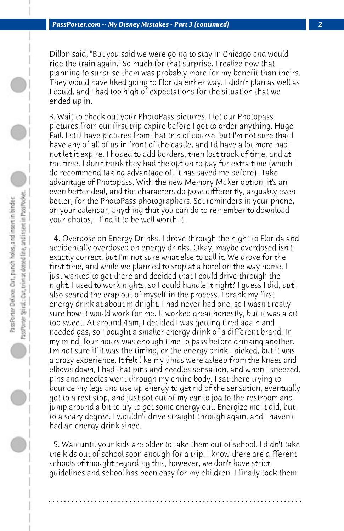Dillon said, "But you said we were going to stay in Chicago and would ride the train again." So much for that surprise. I realize now that planning to surprise them was probably more for my benefit than theirs. They would have liked going to Florida either way. I didn't plan as well as I could, and I had too high of expectations for the situation that we ended up in.

3. Wait to check out your PhotoPass pictures. I let our Photopass pictures from our first trip expire before I got to order anything. Huge Fail. I still have pictures from that trip of course, but I'm not sure that I have any of all of us in front of the castle, and I'd have a lot more had I not let it expire. I hoped to add borders, then lost track of time, and at the time, I don't think they had the option to pay for extra time (which I do recommend taking advantage of, it has saved me before). Take advantage of Photopass. With the new Memory Maker option, it's an even better deal, and the characters do pose differently, arguably even better, for the PhotoPass photographers. Set reminders in your phone, on your calendar, anything that you can do to remember to download your photos; I find it to be well worth it.

 4. Overdose on Energy Drinks. I drove through the night to Florida and accidentally overdosed on energy drinks. Okay, maybe overdosed isn't exactly correct, but I'm not sure what else to call it. We drove for the first time, and while we planned to stop at a hotel on the way home, I just wanted to get there and decided that I could drive through the night. I used to work nights, so I could handle it right? I guess I did, but I also scared the crap out of myself in the process. I drank my first energy drink at about midnight. I had never had one, so I wasn't really sure how it would work for me. It worked great honestly, but it was a bit too sweet. At around 4am, I decided I was getting tired again and needed gas, so I bought a smaller energy drink of a different brand. In my mind, four hours was enough time to pass before drinking another. I'm not sure if it was the timing, or the energy drink I picked, but it was a crazy experience. It felt like my limbs were asleep from the knees and elbows down, I had that pins and needles sensation, and when I sneezed, pins and needles went through my entire body. I sat there trying to bounce my legs and use up energy to get rid of the sensation, eventually got to a rest stop, and just got out of my car to jog to the restroom and jump around a bit to try to get some energy out. Energize me it did, but to a scary degree. I wouldn't drive straight through again, and I haven't had an energy drink since.

 5. Wait until your kids are older to take them out of school. I didn't take the kids out of school soon enough for a trip. I know there are different schools of thought regarding this, however, we don't have strict guidelines and school has been easy for my children. I finally took them

**. . . . . . . . . . . . . . . . . . . . . . . . . . . . . . . . . . . . . . . . . . . . . . . . . . . . . . . . . . . . . . . . . .**